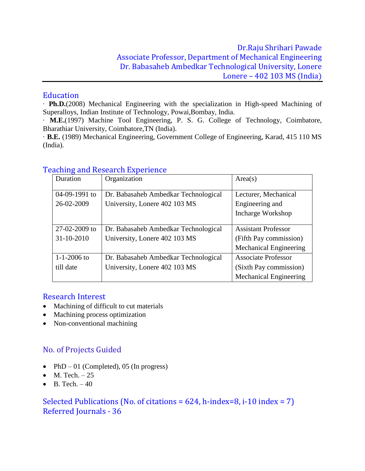### **Education**

· **Ph.D.**(2008) Mechanical Engineering with the specialization in High-speed Machining of Superalloys, Indian Institute of Technology, Powai,Bombay, India.

· **M.E.**(1997) Machine Tool Engineering, P. S. G. College of Technology, Coimbatore, Bharathiar University, Coimbatore,TN (India).

· **B.E.** (1989) Mechanical Engineering, Government College of Engineering, Karad, 415 110 MS (India).

| Duration          | Organization                         | Area(s)                       |  |
|-------------------|--------------------------------------|-------------------------------|--|
|                   |                                      |                               |  |
| 04-09-1991 to     | Dr. Babasaheb Ambedkar Technological | Lecturer, Mechanical          |  |
| 26-02-2009        | University, Lonere 402 103 MS        | Engineering and               |  |
|                   |                                      | Incharge Workshop             |  |
|                   |                                      |                               |  |
| 27-02-2009 to     | Dr. Babasaheb Ambedkar Technological | <b>Assistant Professor</b>    |  |
| 31-10-2010        | University, Lonere 402 103 MS        | (Fifth Pay commission)        |  |
|                   |                                      | <b>Mechanical Engineering</b> |  |
| $1 - 1 - 2006$ to | Dr. Babasaheb Ambedkar Technological | <b>Associate Professor</b>    |  |
| till date         | University, Lonere 402 103 MS        | (Sixth Pay commission)        |  |
|                   |                                      | <b>Mechanical Engineering</b> |  |

# Teaching and Research Experience

### Research Interest

- Machining of difficult to cut materials
- Machining process optimization
- Non-conventional machining

# No. of Projects Guided

- PhD 01 (Completed), 05 (In progress)
- $M. Tech. 25$
- $\bullet$  B. Tech.  $-40$

# Selected Publications (No. of citations = 624, h-index=8, i-10 index = 7) Referred Journals - 36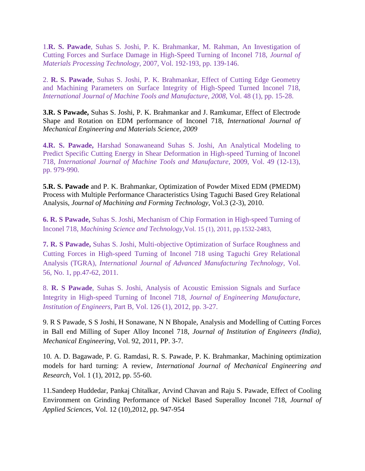1.**R. S. Pawade**, Suhas S. Joshi, P. K. Brahmankar, M. Rahman, An Investigation of Cutting Forces and Surface Damage in High-Speed Turning of Inconel 718, *Journal of Materials Processing Technology,* 2007, Vol. 192-193, pp. 139-146.

2. **R. S. Pawade**, Suhas S. Joshi, P. K. Brahmankar, Effect of Cutting Edge Geometry and Machining Parameters on Surface Integrity of High-Speed Turned Inconel 718, *International Journal of Machine Tools and Manufacture, 2008,* Vol. 48 (1), pp. 15-28.

**3.R. S Pawade,** Suhas S. Joshi, P. K. Brahmankar and J. Ramkumar, Effect of Electrode Shape and Rotation on EDM performance of Inconel 718, *International Journal of Mechanical Engineering and Materials Science, 2009*

**4.R. S. Pawade,** Harshad Sonawaneand Suhas S. Joshi, An Analytical Modeling to Predict Specific Cutting Energy in Shear Deformation in High-speed Turning of Inconel 718, *International Journal of Machine Tools and Manufacture*, 2009, Vol. 49 (12-13), pp. 979-990.

**5.R. S. Pawade** and P. K. Brahmankar, Optimization of Powder Mixed EDM (PMEDM) Process with Multiple Performance Characteristics Using Taguchi Based Grey Relational Analysis, *Journal of Machining and Forming Technology*, Vol.3 (2-3), 2010.

**6. R. S Pawade,** Suhas S. Joshi, Mechanism of Chip Formation in High-speed Turning of Inconel 718, *Machining Science and Technology*,Vol. 15 (1), 2011, pp.1532-2483,

**7. R. S Pawade,** Suhas S. Joshi, Multi-objective Optimization of Surface Roughness and Cutting Forces in High-speed Turning of Inconel 718 using Taguchi Grey Relational Analysis (TGRA), *International Journal of Advanced Manufacturing Technology,* Vol. 56, No. 1, pp.47-62, 2011.

8. **R. S Pawade**, Suhas S. Joshi, Analysis of Acoustic Emission Signals and Surface Integrity in High-speed Turning of Inconel 718, *Journal of Engineering Manufacture, Institution of Engineers*, Part B, Vol. 126 (1), 2012, pp. 3-27.

9. R S Pawade, S S Joshi, H Sonawane, N N Bhopale, Analysis and Modelling of Cutting Forces in Ball end Milling of Super Alloy Inconel 718, *Journal of Institution of Engineers (India), Mechanical Engineering*, Vol. 92, 2011, PP. 3-7.

10. A. D. Bagawade, P. G. Ramdasi, R. S. Pawade, P. K. Brahmankar, Machining optimization models for hard turning: A review, *International Journal of Mechanical Engineering and Research,* Vol. 1 (1), 2012, pp. 55-60.

11[.Sandeep Huddedar,](http://ascidatabase.com/author.php?author=Sandeep&last=Huddedar) [Pankaj Chitalkar,](http://ascidatabase.com/author.php?author=Pankaj&last=Chitalkar) [Arvind Chavan](http://ascidatabase.com/author.php?author=Arvind&last=Chavan) and [Raju S. Pawade,](http://ascidatabase.com/author.php?author=Raju%20S.&last=Pawade) Effect of Cooling Environment on Grinding Performance of Nickel Based Superalloy Inconel 718, *Journal of Applied Sciences*, Vol. 12 (10),2012, pp. 947-954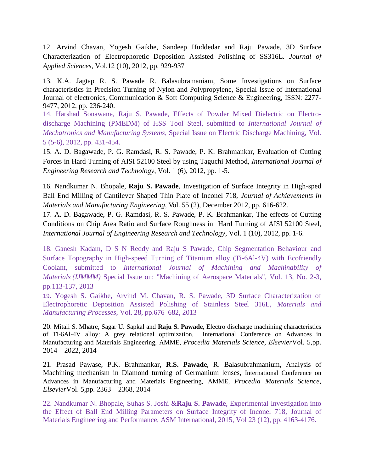12. [Arvind Chavan,](http://ascidatabase.com/author.php?author=Arvind&last=Chavan) [Yogesh Gaikhe,](http://ascidatabase.com/author.php?author=Yogesh&last=Gaikhe) [Sandeep Huddedar](http://ascidatabase.com/author.php?author=Sandeep&last=Huddedar) and [Raju Pawade,](http://ascidatabase.com/author.php?author=Raju&last=Pawade) 3D Surface Characterization of Electrophoretic Deposition Assisted Polishing of SS316L. *Journal of Applied Sciences,* Vol.12 (10), 2012, pp. 929-937

13. K.A. Jagtap R. S. Pawade R. Balasubramaniam, Some Investigations on Surface characteristics in Precision Turning of Nylon and Polypropylene, Special Issue of International Journal of electronics, Communication & Soft Computing Science & Engineering, ISSN: 2277- 9477, 2012, pp. 236-240.

14. Harshad Sonawane, Raju S. Pawade, Effects of Powder Mixed Dielectric on Electrodischarge Machining (PMEDM) of HSS Tool Steel, submitted to *International Journal of Mechatronics and Manufacturing Systems*, Special Issue on Electric Discharge Machining, Vol. 5 (5-6), 2012, pp. 431-454.

15. A. D. Bagawade, P. G. Ramdasi, R. S. Pawade, P. K. Brahmankar, Evaluation of Cutting Forces in Hard Turning of AISI 52100 Steel by using Taguchi Method, *International Journal of Engineering Research and Technology*, Vol. 1 (6), 2012, pp. 1-5.

16. Nandkumar N. Bhopale, **Raju S. Pawade**, Investigation of Surface Integrity in High-sped Ball End Milling of Cantilever Shaped Thin Plate of Inconel 718, *Journal of Achievements in Materials and Manufacturing Engineering,* Vol. 55 (2), December 2012, pp. 616-622.

17. A. D. Bagawade, P. G. Ramdasi, R. S. Pawade, P. K. Brahmankar, The effects of Cutting Conditions on Chip Area Ratio and Surface Roughness in Hard Turning of AISI 52100 Steel, *International Journal of Engineering Research and Technology*, Vol. 1 (10), 2012, pp. 1-6.

18. Ganesh Kadam, D S N Reddy and Raju S Pawade, Chip Segmentation Behaviour and Surface Topography in High-speed Turning of Titanium alloy (Ti-6Al-4V) with Ecofriendly Coolant, submitted to *International Journal of Machining and Machinability of Materials (IJMMM)* Special Issue on: "Machining of Aerospace Materials", Vol. 13, No. 2-3, pp.113-137, 2013

19. Yogesh S. Gaikhe, Arvind M. Chavan, R. S. Pawade, 3D Surface Characterization of Electrophoretic Deposition Assisted Polishing of Stainless Steel 316L, *Materials and Manufacturing Processes*, Vol. 28, pp.676–682, 2013

20. Mitali S. Mhatre, Sagar U. Sapkal and **Raju S. Pawade**, Electro discharge machining characteristics of Ti-6Al-4V alloy: A grey relational optimization, International Conference on Advances in Manufacturing and Materials Engineering, AMME, *Procedia Materials Science, Elsevier*Vol. 5,pp. 2014 – 2022, 2014

21. Prasad Pawase, P.K. Brahmankar, **R.S. Pawade**, R. Balasubrahmanium, Analysis of Machining mechanism in Diamond turning of Germanium lenses, International Conference on Advances in Manufacturing and Materials Engineering, AMME, *Procedia Materials Science, Elsevier*Vol. 5,pp. 2363 – 2368, 2014

22. Nandkumar N. Bhopale, Suhas S. Joshi &**Raju S. Pawade**, Experimental Investigation into the Effect of Ball End Milling Parameters on Surface Integrity of Inconel 718, Journal of Materials Engineering and Performance, ASM International, 2015, Vol 23 (12), pp. 4163-4176.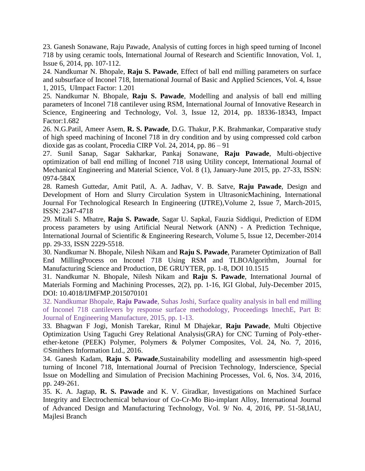23. Ganesh Sonawane, Raju Pawade, Analysis of cutting forces in high speed turning of Inconel 718 by using ceramic tools, International Journal of Research and Scientific Innovation, Vol. 1, Issue 6, 2014, pp. 107-112.

24. Nandkumar N. Bhopale, **Raju S. Pawade**, Effect of ball end milling parameters on surface and subsurface of Inconel 718, International Journal of Basic and Applied Sciences, Vol. 4, Issue 1, 2015, UImpact Factor: 1.201

25. Nandkumar N. Bhopale, **Raju S. Pawade**, Modelling and analysis of ball end milling parameters of Inconel 718 cantilever using RSM, International Journal of Innovative Research in Science, Engineering and Technology, Vol. 3, Issue 12, 2014, pp. 18336-18343, Impact Factor:1.682

26. N.G.Patil, Ameer Asem, **R. S. Pawade**, D.G. Thakur, P.K. Brahmankar, Comparative study of high speed machining of Inconel 718 in dry condition and by using compressed cold carbon dioxide gas as coolant, Procedia CIRP Vol. 24, 2014, pp. 86 – 91

27. Sunil Sanap, Sagar Sakharkar, Pankaj Sonawane, **Raju Pawade**, Multi-objective optimization of ball end milling of Inconel 718 using Utility concept, International Journal of Mechanical Engineering and Material Science, Vol. 8 (1), January-June 2015, pp. 27-33, ISSN: 0974-584X

28. Ramesh Guttedar, Amit Patil, A. A. Jadhav, V. B. Satve, **Raju Pawade**, Design and Development of Horn and Slurry Circulation System in UltrasonicMachining, International Journal For Technological Research In Engineering (IJTRE),Volume 2, Issue 7, March-2015, ISSN: 2347-4718

29. Mitali S. Mhatre, **Raju S. Pawade**, Sagar U. Sapkal, Fauzia Siddiqui, Prediction of EDM process parameters by using Artificial Neural Network (ANN) - A Prediction Technique, International Journal of Scientific & Engineering Research, Volume 5, Issue 12, December-2014 pp. 29-33, ISSN 2229-5518.

30. Nandkumar N. Bhopale, Nilesh Nikam and **Raju S. Pawade**, Parameter Optimization of Ball End MillingProcess on Inconel 718 Using RSM and TLBOAlgorithm, Journal for Manufacturing Science and Production, DE GRUYTER, pp. 1-8, DOI 10.1515

31. Nandkumar N. Bhopale, Nilesh Nikam and **Raju S. Pawade**, International Journal of Materials Forming and Machining Processes, 2(2), pp. 1-16, IGI Global, July-December 2015, DOI: 10.4018/IJMFMP.2015070101

32. Nandkumar Bhopale, **Raju Pawade**, Suhas Joshi, Surface quality analysis in ball end milling of Inconel 718 cantilevers by response surface methodology, Proceedings ImechE, Part B: Journal of Engineering Manufacture, 2015, pp. 1-13.

33. Bhagwan F Jogi, Monish Tarekar, Rinul M Dhajekar, **Raju Pawade**, Multi Objective Optimization Using Taguchi Grey Relational Analysis(GRA) for CNC Turning of Poly-etherether-ketone (PEEK) Polymer, Polymers & Polymer Composites, Vol. 24, No. 7, 2016, ©Smithers Information Ltd., 2016.

34. Ganesh Kadam, **Raju S. Pawade**,Sustainability modelling and assessmentin high-speed turning of Inconel 718, International Journal of Precision Technology, Inderscience, Special Issue on Modelling and Simulation of Precision Machining Processes, Vol. 6, Nos. 3/4, 2016, pp. 249-261.

35. K. A. Jagtap, **R. S. Pawade** and K. V. Giradkar, Investigations on Machined Surface Integrity and Electrochemical behaviour of Co-Cr-Mo Bio-implant Alloy, International Journal of Advanced Design and Manufacturing Technology, Vol. 9/ No. 4, 2016, PP. 51-58,IAU, Majlesi Branch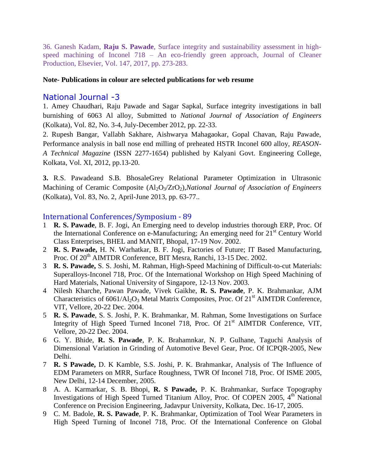36. Ganesh Kadam, **Raju S. Pawade**, Surface integrity and sustainability assessment in highspeed machining of Inconel 718 – An eco-friendly green approach, Journal of Cleaner Production, Elsevier, Vol. 147, 2017, pp. 273-283.

#### **Note- Publications in colour are selected publications for web resume**

#### National Journal -3

1. Amey Chaudhari, Raju Pawade and Sagar Sapkal, Surface integrity investigations in ball burnishing of 6063 Al alloy, Submitted to *National Journal of Association of Engineers* (Kolkata), Vol. 82, No. 3-4, July-December 2012, pp. 22-33.

2. Rupesh Bangar, Vallabh Sakhare, Aishwarya Mahagaokar, Gopal Chavan, Raju Pawade, Performance analysis in ball nose end milling of preheated HSTR Inconel 600 alloy, *REASON-A Technical Magazine* (ISSN 2277-1654) published by Kalyani Govt. Engineering College, Kolkata, Vol. XI, 2012, pp.13-20.

**3.** R.S. Pawadeand S.B. BhosaleGrey Relational Parameter Optimization in Ultrasonic Machining of Ceramic Composite (Al<sub>2</sub>O<sub>3</sub>/ZrO<sub>2</sub>),*National Journal of Association of Engineers* (Kolkata), Vol. 83, No. 2, April-June 2013, pp. 63-77..

#### International Conferences/Symposium - 89

- 1 **R. S. Pawade**, B. F. Jogi, An Emerging need to develop industries thorough ERP, Proc. Of the International Conference on e-Manufacturing; An emerging need for  $21<sup>st</sup>$  Century World Class Enterprises, BHEL and MANIT, Bhopal, 17-19 Nov. 2002.
- 2 **R. S. Pawade,** H. N. Warhatkar, B. F. Jogi, Factories of Future; IT Based Manufacturing, Proc. Of 20<sup>th</sup> AIMTDR Conference, BIT Mesra, Ranchi, 13-15 Dec. 2002.
- 3 **R. S. Pawade,** S. S. Joshi, M. Rahman, High-Speed Machining of Difficult-to-cut Materials: Superalloys-Inconel 718, Proc. Of the International Workshop on High Speed Machining of Hard Materials, National University of Singapore, 12-13 Nov. 2003.
- 4 Nilesh Kharche, Pawan Pawade, Vivek Gaikhe, **R. S. Pawade**, P. K. Brahmankar, AJM Characteristics of  $6061/Al_2O_3$  Metal Matrix Composites, Proc. Of  $21<sup>st</sup>$  AIMTDR Conference, VIT, Vellore, 20-22 Dec. 2004.
- 5 **R. S. Pawade**, S. S. Joshi, P. K. Brahmankar, M. Rahman, Some Investigations on Surface Integrity of High Speed Turned Inconel 718, Proc. Of 21<sup>st</sup> AIMTDR Conference, VIT, Vellore, 20-22 Dec. 2004.
- 6 G. Y. Bhide, **R. S. Pawade**, P. K. Brahamnkar, N. P. Gulhane, Taguchi Analysis of Dimensional Variation in Grinding of Automotive Bevel Gear, Proc. Of ICPQR-2005, New Delhi.
- 7 **R. S Pawade,** D. K Kamble, S.S. Joshi, P. K. Brahmankar, Analysis of The Influence of EDM Parameters on MRR, Surface Roughness, TWR Of Inconel 718, Proc. Of ISME 2005, New Delhi, 12-14 December, 2005.
- 8 A. A. Karmarkar, S. B. Bhopi, **R. S Pawade,** P. K. Brahmankar, Surface Topography Investigations of High Speed Turned Titanium Alloy, Proc. Of COPEN 2005,  $4<sup>th</sup>$  National Conference on Precision Engineering, Jadavpur University, Kolkata, Dec. 16-17, 2005.
- 9 C. M. Badole, **R. S. Pawade**, P. K. Brahmankar, Optimization of Tool Wear Parameters in High Speed Turning of Inconel 718, Proc. Of the International Conference on Global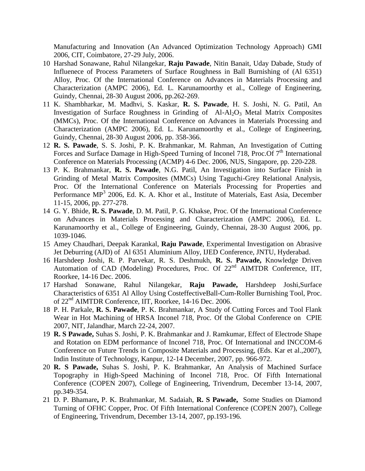Manufacturing and Innovation (An Advanced Optimization Technology Approach) GMI 2006, CIT, Coimbatore, 27-29 July, 2006.

- 10 Harshad Sonawane, Rahul Nilangekar, **Raju Pawade**, Nitin Banait, Uday Dabade, Study of Influenece of Process Parameters of Surface Roughness in Ball Burnishing of (Al 6351) Alloy, Proc. Of the International Conference on Advances in Materials Processing and Characterization (AMPC 2006), Ed. L. Karunamoorthy et al., College of Engineering, Guindy, Chennai, 28-30 August 2006, pp.262-269.
- 11 K. Shambharkar, M. Madhvi, S. Kaskar, **R. S. Pawade**, H. S. Joshi, N. G. Patil, An Investigation of Surface Roughness in Grinding of  $A1-A1<sub>2</sub>O<sub>3</sub>$  Metal Matrix Composites (MMCs), Proc. Of the International Conference on Advances in Materials Processing and Characterization (AMPC 2006), Ed. L. Karunamoorthy et al., College of Engineering, Guindy, Chennai, 28-30 August 2006, pp. 358-366.
- 12 **R. S. Pawade**, S. S. Joshi, P. K. Brahmankar, M. Rahman, An Investigation of Cutting Forces and Surface Damage in High-Speed Turning of Inconel 718, Proc.Of  $7<sup>th</sup>$  International Conference on Materials Processing (ACMP) 4-6 Dec. 2006, NUS, Singapore, pp. 220-228.
- 13 P. K. Brahmankar, **R. S. Pawade**, N.G. Patil, An Investigation into Surface Finish in Grinding of Metal Matrix Composites (MMCs) Using Taguchi-Grey Relational Analysis, Proc. Of the International Conference on Materials Processing for Properties and Performance MP<sup>3</sup> 2006, Ed. K. A. Khor et al., Institute of Materials, East Asia, December 11-15, 2006, pp. 277-278.
- 14 G. Y. Bhide, **R. S. Pawade**, D. M. Patil, P. G. Khakse, Proc. Of the International Conference on Advances in Materials Processing and Characterization (AMPC 2006), Ed. L. Karunamoorthy et al., College of Engineering, Guindy, Chennai, 28-30 August 2006, pp. 1039-1046.
- 15 Amey Chaudhari, Deepak Karankal, **Raju Pawade**, Experimental Investigation on Abrasive Jet Deburring (AJD) of Al 6351 Aluminium Alloy, IJED Conference, JNTU, Hyderabad.
- 16 Harshdeep Joshi, R. P. Parvekar, R. S. Deshmukh, **R. S. Pawade,** Knowledge Driven Automation of CAD (Modeling) Procedures, Proc. Of 22<sup>nd</sup> AIMTDR Conference, IIT, Roorkee, 14-16 Dec. 2006.
- 17 Harshad Sonawane, Rahul Nilangekar, **Raju Pawade,** Harshdeep Joshi,Surface Characteristics of 6351 Al Alloy Using CosteffectiveBall-Cum-Roller Burnishing Tool, Proc. of 22<sup>nd</sup> AIMTDR Conference, IIT, Roorkee, 14-16 Dec. 2006.
- 18 P. H. Parkale, **R. S. Pawade**, P. K. Brahmankar, A Study of Cutting Forces and Tool Flank Wear in Hot Machining of HRSA Inconel 718, Proc. Of the Global Conference on CPIE 2007, NIT, Jalandhar, March 22-24, 2007.
- 19 **R. S Pawade,** Suhas S. Joshi, P. K. Brahmankar and J. Ramkumar, Effect of Electrode Shape and Rotation on EDM performance of Inconel 718, Proc. Of International and INCCOM-6 Conference on Future Trends in Composite Materials and Processing, (Eds. Kar et al.,2007), Indin Institute of Technology, Kanpur, 12-14 December, 2007, pp. 966-972.
- 20 **R. S Pawade,** Suhas S. Joshi, P. K. Brahmankar, An Analysis of Machined Surface Topography in High-Speed Machining of Inconel 718, Proc. Of Fifth International Conference (COPEN 2007), College of Engineering, Trivendrum, December 13-14, 2007, pp.349-354.
- 21 D. P. Bhamare**,** P. K. Brahmankar, M. Sadaiah, **R. S Pawade,** Some Studies on Diamond Turning of OFHC Copper, Proc. Of Fifth International Conference (COPEN 2007), College of Engineering, Trivendrum, December 13-14, 2007, pp.193-196.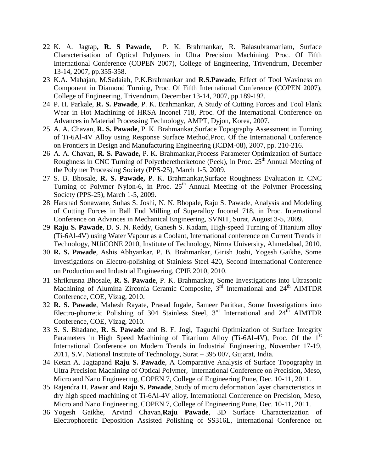- 22 K. A. Jagtap**, R. S Pawade,** P. K. Brahmankar, R. Balasubramaniam, Surface Characterisation of Optical Polymers in Ultra Precision Machining, Proc. Of Fifth International Conference (COPEN 2007), College of Engineering, Trivendrum, December 13-14, 2007, pp.355-358.
- 23 K.A. Mahajan, M.Sadaiah, P.K.Brahmankar and **R.S.Pawade**, Effect of Tool Waviness on Component in Diamond Turning, Proc. Of Fifth International Conference (COPEN 2007), College of Engineering, Trivendrum, December 13-14, 2007, pp.189-192.
- 24 P. H. Parkale, **R. S. Pawade**, P. K. Brahmankar, A Study of Cutting Forces and Tool Flank Wear in Hot Machining of HRSA Inconel 718, Proc. Of the International Conference on Advances in Material Processing Technology, AMPT, Dyjon, Korea, 2007.
- 25 A. A. Chavan, **R. S. Pawade**, P. K. Brahmankar,Surface Topography Assessment in Turning of Ti-6Al-4V Alloy using Response Surface Method,Proc. Of the International Conference on Frontiers in Design and Manufacturing Engineering (ICDM-08), 2007, pp. 210-216.
- 26 A. A. Chavan, **R. S. Pawade,** P. K. Brahmankar,Process Parameter Optimization of Surface Roughness in CNC Turning of Polyetheretherketone (Peek), in Proc. 25<sup>th</sup> Annual Meeting of the Polymer Processing Society (PPS-25), March 1-5, 2009.
- 27 S. B. Bhosale, **R. S. Pawade,** P. K. Brahmankar,Surface Roughness Evaluation in CNC Turning of Polymer Nylon-6, in Proc.  $25<sup>th</sup>$  Annual Meeting of the Polymer Processing Society (PPS-25), March 1-5, 2009.
- 28 Harshad Sonawane, Suhas S. Joshi, N. N. Bhopale, Raju S. Pawade, Analysis and Modeling of Cutting Forces in Ball End Milling of Superalloy Inconel 718, in Proc. International Conference on Advances in Mechanical Engineering, SVNIT, Surat, August 3-5, 2009.
- 29 **Raju S. Pawade**, D. S. N. Reddy, Ganesh S. Kadam, High-speed Turning of Titanium alloy (Ti-6Al-4V) using Water Vapour as a Coolant, International conference on Current Trends in Technology, NUiCONE 2010, Institute of Technology, Nirma University, Ahmedabad, 2010.
- 30 **R. S. Pawade**, Ashis Abhyankar, P. B. Brahmankar, Girish Joshi, Yogesh Gaikhe, Some Investigations on Electro-polishing of Stainless Steel 420, Second International Conference on Production and Industrial Engineering, CPIE 2010, 2010.
- 31 Shrikrusna Bhosale, **R. S. Pawade**, P. K. Brahmankar, Some Investigations into Ultrasonic Machining of Alumina Zirconia Ceramic Composite, 3<sup>rd</sup> International and 24<sup>th</sup> AIMTDR Conference, COE, Vizag, 2010.
- 32 **R. S. Pawade**, Mahesh Rayate, Prasad Ingale, Sameer Paritkar, Some Investigations into Electro-phorretic Polishing of 304 Stainless Steel, 3<sup>rd</sup> International and 24<sup>th</sup> AIMTDR Conference, COE, Vizag, 2010.
- 33 S. S. Bhadane, **R. S. Pawade** and B. F. Jogi, Taguchi Optimization of Surface Integrity Parameters in High Speed Machining of Titanium Alloy (Ti-6Al-4V), Proc. Of the  $1<sup>st</sup>$ International Conference on Modern Trends in Industrial Engineering, November 17-19, 2011, S.V. National Institute of Technology, Surat – 395 007, Gujarat, India.
- 34 Ketan A. Jagtapand **Raju S. Pawade**, A Comparative Analysis of Surface Topography in Ultra Precision Machining of Optical Polymer, International Conference on Precision, Meso, Micro and Nano Engineering, COPEN 7, College of Engineering Pune, Dec. 10-11, 2011.
- 35 Rajendra H. Pawar and **Raju S. Pawade**, Study of micro deformation layer characteristics in dry high speed machining of Ti-6Al-4V alloy, International Conference on Precision, Meso, Micro and Nano Engineering, COPEN 7, College of Engineering Pune, Dec. 10-11, 2011.
- 36 Yogesh Gaikhe, Arvind Chavan,**Raju Pawade**, 3D Surface Characterization of Electrophoretic Deposition Assisted Polishing of SS316L, International Conference on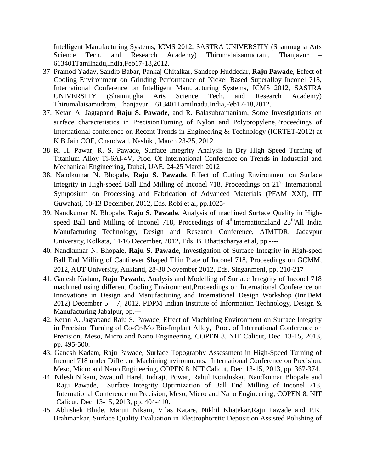Intelligent Manufacturing Systems, ICMS 2012, SASTRA UNIVERSITY (Shanmugha Arts Science Tech. and Research Academy) Thirumalaisamudram, Thanjavur 613401Tamilnadu,India,Feb17-18,2012.

- 37 Pramod Yadav, Sandip Babar, Pankaj Chitalkar, Sandeep Huddedar, **Raju Pawade**, Effect of Cooling Environment on Grinding Performance of Nickel Based Superalloy Inconel 718, International Conference on Intelligent Manufacturing Systems, ICMS 2012, SASTRA UNIVERSITY (Shanmugha Arts Science Tech. and Research Academy) Thirumalaisamudram, Thanjavur – 613401Tamilnadu,India,Feb17-18,2012.
- 37. Ketan A. Jagtapand **Raju S. Pawade**, and R. Balasubramaniam, Some Investigations on surface characteristics in PrecisionTurning of Nylon and Polypropylene,Proceedings of International conference on Recent Trends in Engineering & Technology (ICRTET-2012) at K B Jain COE, Chandwad, Nashik , March 23-25, 2012.
- 38 R. H. Pawar, R. S. Pawade, Surface Integrity Analysis in Dry High Speed Turning of Titanium Alloy Ti-6Al-4V, Proc. Of International Conference on Trends in Industrial and Mechanical Engineering, Dubai, UAE, 24-25 March 2012
- 38. Nandkumar N. Bhopale, **Raju S. Pawade**, Effect of Cutting Environment on Surface Integrity in High-speed Ball End Milling of Inconel 718, Proceedings on  $21<sup>st</sup>$  International Symposium on Processing and Fabrication of Advanced Materials (PFAM XXI), IIT Guwahati, 10-13 December, 2012, Eds. Robi et al, pp.1025-
- 39. Nandkumar N. Bhopale, **Raju S. Pawade**, Analysis of machined Surface Quality in Highspeed Ball End Milling of Inconel 718, Proceedings of  $4<sup>th</sup>$ Internationaland  $25<sup>th</sup>$ All India Manufacturing Technology, Design and Research Conference, AIMTDR, Jadavpur University, Kolkata, 14-16 December, 2012, Eds. B. Bhattacharya et al, pp.----
- 40. Nandkumar N. Bhopale, **Raju S. Pawade**, Investigation of Surface Integrity in High-sped Ball End Milling of Cantilever Shaped Thin Plate of Inconel 718, Proceedings on GCMM, 2012, AUT University, Aukland, 28-30 November 2012, Eds. Singanmeni, pp. 210-217
- 41. Ganesh Kadam, **Raju Pawade**, Analysis and Modelling of Surface Integrity of Inconel 718 machined using different Cooling Environment,Proceedings on International Conference on Innovations in Design and Manufacturing and International Design Workshop (InnDeM 2012) December 5 – 7, 2012, PDPM Indian Institute of Information Technology, Design  $\&$ Manufacturing Jabalpur, pp.---
- 42. Ketan A. Jagtapand Raju S. Pawade, Effect of Machining Environment on Surface Integrity in Precision Turning of Co-Cr-Mo Bio-Implant Alloy, Proc. of International Conference on Precision, Meso, Micro and Nano Engineering, COPEN 8, NIT Calicut, Dec. 13-15, 2013, pp. 495-500.
- 43. Ganesh Kadam, Raju Pawade, Surface Topography Assessment in High-Speed Turning of Inconel 718 under Different Machining nvironments, International Conference on Precision, Meso, Micro and Nano Engineering, COPEN 8, NIT Calicut, Dec. 13-15, 2013, pp. 367-374.
- 44. Nilesh Nikam, Swapnil Harel, Indrajit Powar, Rahul Konduskar, Nandkumar Bhopale and Raju Pawade, Surface Integrity Optimization of Ball End Milling of Inconel 718, International Conference on Precision, Meso, Micro and Nano Engineering, COPEN 8, NIT Calicut, Dec. 13-15, 2013, pp. 404-410.
- 45. Abhishek Bhide, Maruti Nikam, Vilas Katare, Nikhil Khatekar,Raju Pawade and P.K. Brahmankar, Surface Quality Evaluation in Electrophoretic Deposition Assisted Polishing of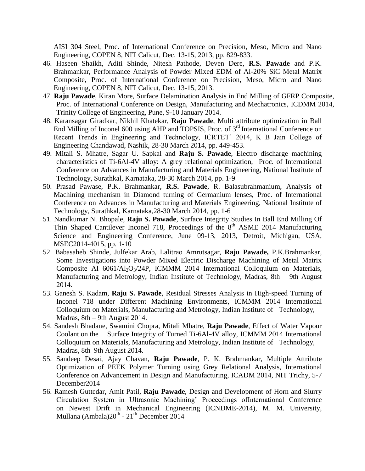AISI 304 Steel, Proc. of International Conference on Precision, Meso, Micro and Nano Engineering, COPEN 8, NIT Calicut, Dec. 13-15, 2013, pp. 829-833.

- 46. Haseen Shaikh, Aditi Shinde, Nitesh Pathode, Deven Dere, **R.S. Pawade** and P.K. Brahmankar, Performance Analysis of Powder Mixed EDM of Al-20% SiC Metal Matrix Composite, Proc. of International Conference on Precision, Meso, Micro and Nano Engineering, COPEN 8, NIT Calicut, Dec. 13-15, 2013.
- 47. **Raju Pawade**, Kiran More, Surface Delamination Analysis in End Milling of GFRP Composite, Proc. of International Conference on Design, Manufacturing and Mechatronics, ICDMM 2014, Trinity College of Engineering, Pune, 9-10 January 2014.
- 48. Karansagar Giradkar, Nikhil Khatekar, **Raju Pawade**, Multi attribute optimization in Ball End Milling of Inconel 600 using AHP and TOPSIS, Proc. of 3<sup>rd</sup> International Conference on Recent Trends in Engineering and Technology, ICRTET' 2014, K B Jain College of Engineering Chandawad, Nashik, 28-30 March 2014, pp. 449-453.
- 49. Mitali S. Mhatre, Sagar U. Sapkal and **Raju S. Pawade**, Electro discharge machining characteristics of Ti-6Al-4V alloy: A grey relational optimization, Proc. of International Conference on Advances in Manufacturing and Materials Engineering, National Institute of Technology, Surathkal, Karnataka, 28-30 March 2014, pp. 1-9
- 50. Prasad Pawase, P.K. Brahmankar, **R.S. Pawade**, R. Balasubrahmanium, Analysis of Machining mechanism in Diamond turning of Germanium lenses, Proc. of International Conference on Advances in Manufacturing and Materials Engineering, National Institute of Technology, Surathkal, Karnataka,28-30 March 2014, pp. 1-6
- 51. Nandkumar N. Bhopale, **Raju S. Pawade**, Surface Integrity Studies In Ball End Milling Of Thin Shaped Cantilever Inconel 718, Proceedings of the 8<sup>th</sup> ASME 2014 Manufacturing Science and Engineering Conference, June 09-13, 2013, Detroit, Michigan, USA, MSEC2014-4015, pp. 1-10
- 52. Babasaheb Shinde, Julfekar Arab, Lalitrao Amrutsagar, **Raju Pawade,** P.K.Brahmankar, Some Investigations into Powder Mixed Electric Discharge Machining of Metal Matrix Composite Al  $6061/Al_2O_3/24P$ , ICMMM 2014 International Colloquium on Materials, Manufacturing and Metrology, Indian Institute of Technology, Madras, 8th – 9th August 2014.
- 53. Ganesh S. Kadam, **Raju S. Pawade**, Residual Stresses Analysis in High-speed Turning of Inconel 718 under Different Machining Environments, ICMMM 2014 International Colloquium on Materials, Manufacturing and Metrology, Indian Institute of Technology, Madras, 8th – 9th August 2014.
- 54. Sandesh Bhadane, Swamini Chopra, Mitali Mhatre, **Raju Pawade**, Effect of Water Vapour Coolant on the Surface Integrity of Turned Ti-6Al-4V alloy, ICMMM 2014 International Colloquium on Materials, Manufacturing and Metrology, Indian Institute of Technology, Madras, 8th–9th August 2014.
- 55. Sandeep Desai, Ajay Chavan, **Raju Pawade**, P. K. Brahmankar, Multiple Attribute Optimization of PEEK Polymer Turning using Grey Relational Analysis, International Conference on Advancement in Design and Manufacturing, ICADM 2014, NIT Trichy, 5-7 December2014
- 56. Ramesh Guttedar, Amit Patil, **Raju Pawade**, Design and Development of Horn and Slurry Circulation System in Ultrasonic Machining" Proceedings ofInternational Conference on Newest Drift in Mechanical Engineering (ICNDME-2014), M. M. University, Mullana (Ambala) $20^{\text{th}}$  -  $21^{\text{th}}$  December 2014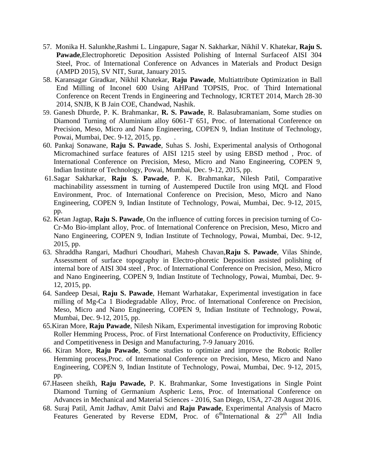- 57. Monika H. Salunkhe,Rashmi L. Lingapure, Sagar N. Sakharkar, Nikhil V. Khatekar, **Raju S. Pawade**,Electrophoretic Deposition Assisted Polishing of Internal Surfaceof AISI 304 Steel, Proc. of International Conference on Advances in Materials and Product Design (AMPD 2015), SV NIT, Surat, January 2015.
- 58. Karansagar Giradkar, Nikhil Khatekar, **Raju Pawade**, Multiattribute Optimization in Ball End Milling of Inconel 600 Using AHPand TOPSIS, Proc. of Third International Conference on Recent Trends in Engineering and Technology, ICRTET 2014, March 28-30 2014, SNJB, K B Jain COE, Chandwad, Nashik.
- 59. Ganesh Dhurde, P. K. Brahmankar, **R. S. Pawade**, R. Balasubramaniam, Some studies on Diamond Turning of Aluminium alloy 6061-T 651, Proc. of International Conference on Precision, Meso, Micro and Nano Engineering, COPEN 9, Indian Institute of Technology, Powai, Mumbai, Dec. 9-12, 2015, pp. .
- 60. Pankaj Sonawane, **Raju S. Pawade**, Suhas S. Joshi, Experimental analysis of Orthogonal Micromachined surface features of AISI 1215 steel by using EBSD method , Proc. of International Conference on Precision, Meso, Micro and Nano Engineering, COPEN 9, Indian Institute of Technology, Powai, Mumbai, Dec. 9-12, 2015, pp.
- 61.Sagar Sakharkar, **Raju S. Pawade**, P. K. Brahmankar, Nilesh Patil, Comparative machinability assessment in turning of Austempered Ductile Iron using MQL and Flood Environment, Proc. of International Conference on Precision, Meso, Micro and Nano Engineering, COPEN 9, Indian Institute of Technology, Powai, Mumbai, Dec. 9-12, 2015, pp.
- 62. Ketan Jagtap, **Raju S. Pawade**, On the influence of cutting forces in precision turning of Co-Cr-Mo Bio-implant alloy, Proc. of International Conference on Precision, Meso, Micro and Nano Engineering, COPEN 9, Indian Institute of Technology, Powai, Mumbai, Dec. 9-12, 2015, pp.
- 63. Shraddha Rangari, Madhuri Choudhari, Mahesh Chavan,**Raju S. Pawade**, Vilas Shinde, Assessment of surface topography in Electro-phoretic Deposition assisted polishing of internal bore of AISI 304 steel , Proc. of International Conference on Precision, Meso, Micro and Nano Engineering, COPEN 9, Indian Institute of Technology, Powai, Mumbai, Dec. 9- 12, 2015, pp.
- 64. Sandeep Desai, **Raju S. Pawade**, Hemant Warhatakar, Experimental investigation in face milling of Mg-Ca 1 Biodegradable Alloy, Proc. of International Conference on Precision, Meso, Micro and Nano Engineering, COPEN 9, Indian Institute of Technology, Powai, Mumbai, Dec. 9-12, 2015, pp.
- 65.Kiran More, **Raju Pawade**, Nilesh Nikam, Experimental investigation for improving Robotic Roller Hemming Process, Proc. of First International Conference on Productivity, Efficiency and Competitiveness in Design and Manufacturing, 7-9 January 2016.
- 66. Kiran More, **Raju Pawade**, Some studies to optimize and improve the Robotic Roller Hemming process,Proc. of International Conference on Precision, Meso, Micro and Nano Engineering, COPEN 9, Indian Institute of Technology, Powai, Mumbai, Dec. 9-12, 2015, pp.
- 67.Haseen sheikh, **Raju Pawade,** P. K. Brahmankar, Some Investigations in Single Point Diamond Turning of Germanium Aspheric Lens, Proc. of International Conference on Advances in Mechanical and Material Sciences - 2016, San Diego, USA, 27-28 August 2016.
- 68. Suraj Patil, Amit Jadhav, Amit Dalvi and **Raju Pawade**, Experimental Analysis of Macro Features Generated by Reverse EDM, Proc. of  $6^{\text{th}}$ International &  $27^{\text{th}}$  All India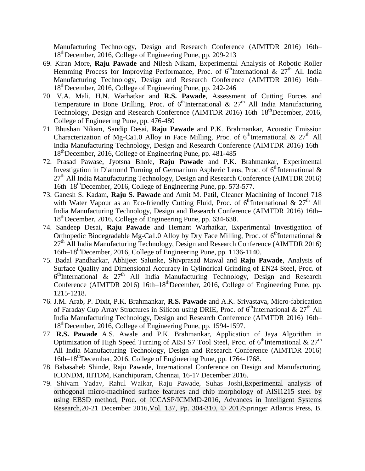Manufacturing Technology, Design and Research Conference (AIMTDR 2016) 16th– 18<sup>th</sup>December, 2016, College of Engineering Pune, pp. 209-213

- 69. Kiran More, **Raju Pawade** and Nilesh Nikam, Experimental Analysis of Robotic Roller Hemming Process for Improving Performance, Proc. of  $6<sup>th</sup>$ International & 27<sup>th</sup> All India Manufacturing Technology, Design and Research Conference (AIMTDR 2016) 16th– 18thDecember, 2016, College of Engineering Pune, pp. 242-246
- 70. V.A. Mali, H.N. Warhatkar and **R.S. Pawade**, Assessment of Cutting Forces and Temperature in Bone Drilling, Proc. of  $6<sup>th</sup>$ International &  $27<sup>th</sup>$  All India Manufacturing Technology, Design and Research Conference (AIMTDR 2016) 16th–18<sup>th</sup>December, 2016, College of Engineering Pune, pp. 476-480
- 71. Bhushan Nikam, Sandip Desai, **Raju Pawade** and P.K. Brahmankar, Acoustic Emission Characterization of Mg-Ca1.0 Alloy in Face Milling, Proc. of  $6^{\text{th}}$ International &  $27^{\text{th}}$  All India Manufacturing Technology, Design and Research Conference (AIMTDR 2016) 16th– 18thDecember, 2016, College of Engineering Pune, pp. 481-485
- 72. Prasad Pawase, Jyotsna Bhole, **Raju Pawade** and P.K. Brahmankar, Experimental Investigation in Diamond Turning of Germanium Aspheric Lens, Proc. of  $6^{\text{th}}$ International &  $27<sup>th</sup>$  All India Manufacturing Technology, Design and Research Conference (AIMTDR 2016) 16th–18<sup>th</sup>December, 2016, College of Engineering Pune, pp. 573-577.
- 73. Ganesh S. Kadam, **Raju S. Pawade** and Amit M. Patil, Cleaner Machining of Inconel 718 with Water Vapour as an Eco-friendly Cutting Fluid, Proc. of  $6<sup>th</sup>$ International &  $27<sup>th</sup>$  All India Manufacturing Technology, Design and Research Conference (AIMTDR 2016) 16th– 18<sup>th</sup>December, 2016, College of Engineering Pune, pp. 634-638.
- 74. Sandeep Desai, **Raju Pawade** and Hemant Warhatkar, Experimental Investigation of Orthopedic Biodegradable Mg-Ca1.0 Alloy by Dry Face Milling, Proc. of  $6^{\text{th}}$ International &  $27<sup>th</sup>$  All India Manufacturing Technology, Design and Research Conference (AIMTDR 2016) 16th– $18^{th}$ December, 2016, College of Engineering Pune, pp. 1136-1140.
- 75. Badal Pandharkar, Abhijeet Salunke, Shivprasad Mawal and **Raju Pawade**, Analysis of Surface Quality and Dimensional Accuracy in Cylindrical Grinding of EN24 Steel, Proc. of  $6<sup>th</sup> International & 27<sup>th</sup> All India Manufacturing Technology, Design and Research$ Conference (AIMTDR 2016) 16th–18<sup>th</sup>December, 2016, College of Engineering Pune, pp. 1215-1218.
- 76. J.M. Arab, P. Dixit, P.K. Brahmankar, **R.S. Pawade** and A.K. Srivastava, Micro-fabrication of Faraday Cup Array Structures in Silicon using DRIE, Proc. of  $6<sup>th</sup>$ International &  $27<sup>th</sup>$  All India Manufacturing Technology, Design and Research Conference (AIMTDR 2016) 16th– 18thDecember, 2016, College of Engineering Pune, pp. 1594-1597.
- 77. **R.S. Pawade** A.S. Awale and P.K. Brahmankar, Application of Jaya Algorithm in Optimization of High Speed Turning of AISI S7 Tool Steel, Proc. of  $6^{\text{th}}$ International &  $27^{\text{th}}$ All India Manufacturing Technology, Design and Research Conference (AIMTDR 2016) 16th–18<sup>th</sup>December, 2016, College of Engineering Pune, pp. 1764-1768.
- 78. Babasaheb Shinde, Raju Pawade, International Conference on Design and Manufacturing, ICONDM, IIITDM, Kanchipuram, Chennai, 16-17 December 2016.
- 79. Shivam Yadav, Rahul Waikar, Raju Pawade, Suhas Joshi,Experimental analysis of orthogonal micro-machined surface features and chip morphology of AISI1215 steel by using EBSD method, Proc. of ICCASP/ICMMD-2016, Advances in Intelligent Systems Research,20-21 December 2016,Vol. 137, Pp. 304-310, © 2017Springer Atlantis Press, B.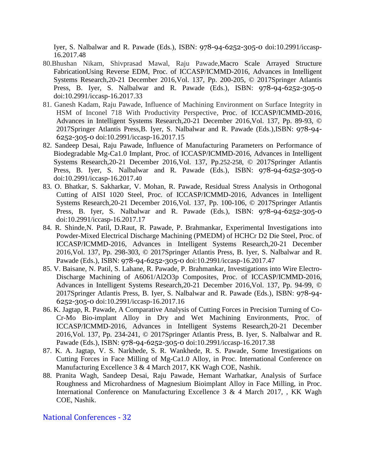Iyer, S. Nalbalwar and R. Pawade (Eds.), ISBN: 978-94-6252-305-0 doi:10.2991/iccasp-16.2017.48

- 80.Bhushan Nikam, Shivprasad Mawal, Raju Pawade,Macro Scale Arrayed Structure FabricationUsing Reverse EDM, Proc. of ICCASP/ICMMD-2016, Advances in Intelligent Systems Research,20-21 December 2016,Vol. 137, Pp. 200-205, © 2017Springer Atlantis Press, B. Iyer, S. Nalbalwar and R. Pawade (Eds.), ISBN: 978-94-6252-305-0 doi:10.2991/iccasp-16.2017.33
- 81. Ganesh Kadam, Raju Pawade, Influence of Machining Environment on Surface Integrity in HSM of Inconel 718 With Productivity Perspective, Proc. of ICCASP/ICMMD-2016, Advances in Intelligent Systems Research,20-21 December 2016,Vol. 137, Pp. 89-93, © 2017Springer Atlantis Press,B. Iyer, S. Nalbalwar and R. Pawade (Eds.),ISBN: 978-94- 6252-305-0 doi:10.2991/iccasp-16.2017.15
- 82. Sandeep Desai, Raju Pawade, Influence of Manufacturing Parameters on Performance of Biodegradable Mg-Ca1.0 Implant, Proc. of ICCASP/ICMMD-2016, Advances in Intelligent Systems Research,20-21 December 2016,Vol. 137, Pp.252-258, © 2017Springer Atlantis Press, B. Iyer, S. Nalbalwar and R. Pawade (Eds.), ISBN: 978-94-6252-305-0 doi:10.2991/iccasp-16.2017.40
- 83. O. Bhatkar, S. Sakharkar, V. Mohan, R. Pawade, Residual Stress Analysis in Orthogonal Cutting of AISI 1020 Steel, Proc. of ICCASP/ICMMD-2016, Advances in Intelligent Systems Research,20-21 December 2016,Vol. 137, Pp. 100-106, © 2017Springer Atlantis Press, B. Iyer, S. Nalbalwar and R. Pawade (Eds.), ISBN: 978-94-6252-305-0 doi:10.2991/iccasp-16.2017.17
- 84. R. Shinde,N. Patil, D.Raut, R. Pawade, P. Brahmankar, Experimental Investigations into Powder-Mixed Electrical Discharge Machining (PMEDM) of HCHCr D2 Die Steel, Proc. of ICCASP/ICMMD-2016, Advances in Intelligent Systems Research,20-21 December 2016,Vol. 137, Pp. 298-303, © 2017Springer Atlantis Press, B. Iyer, S. Nalbalwar and R. Pawade (Eds.), ISBN: 978-94-6252-305-0 doi:10.2991/iccasp-16.2017.47
- 85. V. Baisane, N. Patil, S. Lahane, R. Pawade, P. Brahmankar, Investigations into Wire Electro-Discharge Machining of A6061/Al2O3p Composites, Proc. of ICCASP/ICMMD-2016, Advances in Intelligent Systems Research,20-21 December 2016,Vol. 137, Pp. 94-99, © 2017Springer Atlantis Press, B. Iyer, S. Nalbalwar and R. Pawade (Eds.), ISBN: 978-94- 6252-305-0 doi:10.2991/iccasp-16.2017.16
- 86. K. Jagtap, R. Pawade, A Comparative Analysis of Cutting Forces in Precision Turning of Co-Cr-Mo Bio-implant Alloy in Dry and Wet Machining Environments, Proc. of ICCASP/ICMMD-2016, Advances in Intelligent Systems Research,20-21 December 2016,Vol. 137, Pp. 234-241, © 2017Springer Atlantis Press, B. Iyer, S. Nalbalwar and R. Pawade (Eds.), ISBN: 978-94-6252-305-0 doi:10.2991/iccasp-16.2017.38
- 87. K. A. Jagtap, V. S. Narkhede, S. R. Wankhede, R. S. Pawade, Some Investigations on Cutting Forces in Face Milling of Mg-Ca1.0 Alloy, in Proc. International Conference on Manufacturing Excellence 3 & 4 March 2017, KK Wagh COE, Nashik.
- 88. Pranita Wagh, Sandeep Desai, Raju Pawade, Hemant Warhatkar, Analysis of Surface Roughness and Microhardness of Magnesium Bioimplant Alloy in Face Milling, in Proc. International Conference on Manufacturing Excellence 3 & 4 March 2017, , KK Wagh COE, Nashik.

National Conferences - 32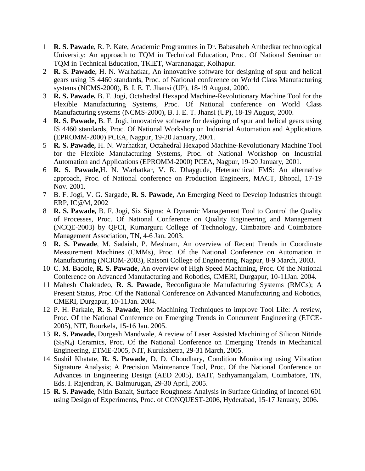- 1 **R. S. Pawade**, R. P. Kate, Academic Programmes in Dr. Babasaheb Ambedkar technological University: An approach to TQM in Technical Education, Proc. Of National Seminar on TQM in Technical Education, TKIET, Warananagar, Kolhapur.
- 2 **R. S. Pawade**, H. N. Warhatkar, An innovatrive software for designing of spur and helical gears using IS 4460 standards, Proc. of National conference on World Class Manufacturing systems (NCMS-2000), B. I. E. T. Jhansi (UP), 18-19 August, 2000.
- 3 **R. S. Pawade,** B. F. Jogi, Octahedral Hexapod Machine-Revolutionary Machine Tool for the Flexible Manufacturing Systems, Proc. Of National conference on World Class Manufacturing systems (NCMS-2000), B. I. E. T. Jhansi (UP), 18-19 August, 2000.
- 4 **R. S. Pawade,** B. F. Jogi, innovatrive software for designing of spur and helical gears using IS 4460 standards, Proc. Of National Workshop on Industrial Automation and Applications (EPROMM-2000) PCEA, Nagpur, 19-20 January, 2001.
- 5 **R. S. Pawade,** H. N. Warhatkar, Octahedral Hexapod Machine-Revolutionary Machine Tool for the Flexible Manufacturing Systems, Proc. of National Workshop on Industrial Automation and Applications (EPROMM-2000) PCEA, Nagpur, 19-20 January, 2001.
- 6 **R. S. Pawade,**H. N. Warhatkar, V. R. Dhaygude, Heterarchical FMS: An alternative approach, Proc. of National conference on Production Engineers, MACT, Bhopal, 17-19 Nov. 2001.
- 7 B. F. Jogi, V. G. Sargade, **R. S. Pawade,** An Emerging Need to Develop Industries through ERP, IC@M, 2002
- 8 **R. S. Pawade,** B. F. Jogi, Six Sigma: A Dynamic Management Tool to Control the Quality of Processes, Proc. Of National Conference on Quality Engineering and Management (NCQE-2003) by QFCI, Kumarguru College of Technology, Cimbatore and Coimbatore Management Association, TN, 4-6 Jan. 2003.
- 9 **R. S. Pawade**, M. Sadaiah, P. Meshram, An overview of Recent Trends in Coordinate Measurement Machines (CMMs), Proc. Of the National Conference on Automation in Manufacturing (NCIOM-2003), Raisoni College of Engineering, Nagpur, 8-9 March, 2003.
- 10 C. M. Badole, **R. S. Pawade**, An overview of High Speed Machining, Proc. Of the National Conference on Advanced Manufacturing and Robotics, CMERI, Durgapur, 10-11Jan. 2004.
- 11 Mahesh Chakradeo, **R. S. Pawade**, Reconfigurable Manufacturing Systems (RMCs); A Present Status, Proc. Of the National Conference on Advanced Manufacturing and Robotics, CMERI, Durgapur, 10-11Jan. 2004.
- 12 P. H. Parkale, **R. S. Pawade**, Hot Machining Techniques to improve Tool Life: A review, Proc. Of the National Conference on Emerging Trends in Concurrent Engineering (ETCE-2005), NIT, Rourkela, 15-16 Jan. 2005.
- 13 **R. S. Pawade,** Durgesh Mandwale, A review of Laser Assisted Machining of Silicon Nitride  $(Si<sub>3</sub>N<sub>4</sub>)$  Ceramics, Proc. Of the National Conference on Emerging Trends in Mechanical Engineering, ETME-2005, NIT, Kurukshetra, 29-31 March, 2005.
- 14 Sushil Khatate, **R. S. Pawade**, D. D. Choudhary, Condition Monitoring using Vibration Signature Analysis; A Precision Maintenance Tool, Proc. Of the National Conference on Advances in Engineering Design (AED 2005), BAIT, Sathyamangalam, Coimbatore, TN, Eds. I. Rajendran, K. Balmurugan, 29-30 April, 2005.
- 15 **R. S. Pawade**, Nitin Banait, Surface Roughness Analysis in Surface Grinding of Inconel 601 using Design of Experiments, Proc. of CONQUEST-2006, Hyderabad, 15-17 January, 2006.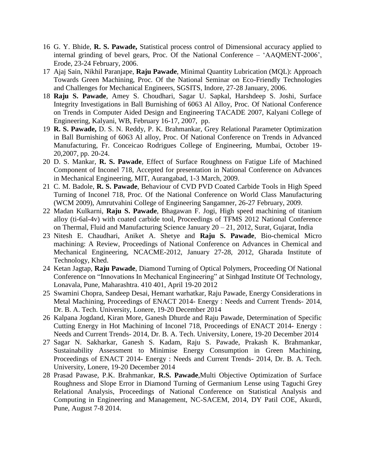- 16 G. Y. Bhide, **R. S. Pawade,** Statistical process control of Dimensional accuracy applied to internal grinding of bevel gears, Proc. Of the National Conference – "AAQMENT-2006", Erode, 23-24 February, 2006.
- 17 Ajaj Sain, Nikhil Paranjape, **Raju Pawade**, Minimal Quantity Lubrication (MQL): Approach Towards Green Machining, Proc. Of the National Seminar on Eco-Friendly Technologies and Challenges for Mechanical Engineers, SGSITS, Indore, 27-28 January, 2006.
- 18 **Raju S. Pawade**, Amey S. Choudhari, Sagar U. Sapkal, Harshdeep S. Joshi, Surface Integrity Investigations in Ball Burnishing of 6063 Al Alloy, Proc. Of National Conference on Trends in Computer Aided Design and Engineering TACADE 2007, Kalyani College of Engineering, Kalyani, WB, February 16-17, 2007, pp.
- 19 **R. S. Pawade,** D. S. N. Reddy, P. K. Brahmankar, Grey Relational Parameter Optimization in Ball Burnishing of 6063 Al alloy, Proc. Of National Conference on Trends in Advanced Manufacturing, Fr. Conceicao Rodrigues College of Engineering, Mumbai, October 19- 20,2007, pp. 20-24.
- 20 D. S. Mankar, **R. S. Pawade**, Effect of Surface Roughness on Fatigue Life of Machined Component of Inconel 718, Accepted for presentation in National Conference on Advances in Mechanical Engineering, MIT, Aurangabad, 1-3 March, 2009.
- 21 C. M. Badole, **R. S. Pawade**, Behaviour of CVD PVD Coated Carbide Tools in High Speed Turning of Inconel 718, Proc. Of the National Conference on World Class Manufacturing (WCM 2009), Amrutvahini College of Engineering Sangamner, 26-27 February, 2009.
- 22 Madan Kulkarni, **Raju S. Pawade**, Bhagawan F. Jogi, High speed machining of titanium alloy (ti-6al-4v) with coated carbide tool, Proceedings of TFMS 2012 National Conference on Thermal, Fluid and Manufacturing Science January 20 – 21, 2012, Surat, Gujarat, India
- 23 Nitesh E. Chaudhari, Aniket A. Shetye and **Raju S. Pawade**, Bio-chemical Micro machining: A Review, Proceedings of National Conference on Advances in Chemical and Mechanical Engineering, NCACME-2012, January 27-28, 2012, Gharada Institute of Technology, Khed.
- 24 Ketan Jagtap, **Raju Pawade**, Diamond Turning of Optical Polymers, Proceeding Of National Conference on "Innovations In Mechanical Engineering" at Sinhgad Institute Of Technology, Lonavala, Pune, Maharashtra. 410 401, April 19-20 2012
- 25 Swamini Chopra, Sandeep Desai, Hemant warhatkar, Raju Pawade, Energy Considerations in Metal Machining, Proceedings of ENACT 2014- Energy : Needs and Current Trends- 2014, Dr. B. A. Tech. University, Lonere, 19-20 December 2014
- 26 Kalpana Jogdand, Kiran More, Ganesh Dhurde and Raju Pawade, Determination of Specific Cutting Energy in Hot Machining of Inconel 718, Proceedings of ENACT 2014- Energy : Needs and Current Trends- 2014, Dr. B. A. Tech. University, Lonere, 19-20 December 2014
- 27 Sagar N. Sakharkar, Ganesh S. Kadam, Raju S. Pawade, Prakash K. Brahmankar, Sustainability Assessment to Minimise Energy Consumption in Green Machining, Proceedings of ENACT 2014- Energy : Needs and Current Trends- 2014, Dr. B. A. Tech. University, Lonere, 19-20 December 2014
- 28 Prasad Pawase, P.K. Brahmankar, **R.S. Pawade**,Multi Objective Optimization of Surface Roughness and Slope Error in Diamond Turning of Germanium Lense using Taguchi Grey Relational Analysis, Proceedings of National Conference on Statistical Analysis and Computing in Engineering and Management, NC-SACEM, 2014, DY Patil COE, Akurdi, Pune, August 7-8 2014.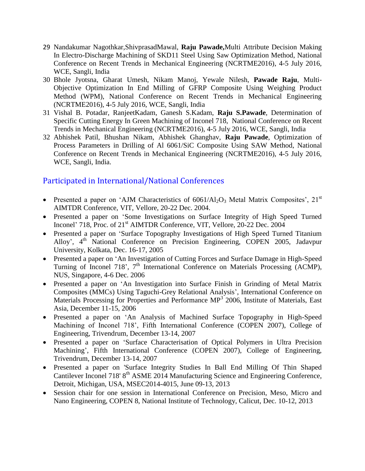- 29 Nandakumar Nagothkar,ShivprasadMawal, **Raju Pawade,**Multi Attribute Decision Making In Electro-Discharge Machining of SKD11 Steel Using Saw Optimization Method, National Conference on Recent Trends in Mechanical Engineering (NCRTME2016), 4-5 July 2016, WCE, Sangli, India
- 30 Bhole Jyotsna, Gharat Umesh, Nikam Manoj, Yewale Nilesh, **Pawade Raju**, Multi-Objective Optimization In End Milling of GFRP Composite Using Weighing Product Method (WPM), National Conference on Recent Trends in Mechanical Engineering (NCRTME2016), 4-5 July 2016, WCE, Sangli, India
- 31 Vishal B. Potadar, RanjeetKadam, Ganesh S.Kadam, **Raju S.Pawade**, Determination of Specific Cutting Energy In Green Machining of Inconel 718, National Conference on Recent Trends in Mechanical Engineering (NCRTME2016), 4-5 July 2016, WCE, Sangli, India
- 32 Abhishek Patil, Bhushan Nikam, Abhishek Ghanghav, **Raju Pawade**, Optimization of Process Parameters in Drilling of Al 6061/SiC Composite Using SAW Method, National Conference on Recent Trends in Mechanical Engineering (NCRTME2016), 4-5 July 2016, WCE, Sangli, India.

# Participated in International/National Conferences

- Presented a paper on 'AJM Characteristics of  $6061/Al_2O_3$  Metal Matrix Composites',  $21<sup>st</sup>$ AIMTDR Conference, VIT, Vellore, 20-22 Dec. 2004.
- Presented a paper on 'Some Investigations on Surface Integrity of High Speed Turned Inconel' 718, Proc. of  $21<sup>st</sup>$  AIMTDR Conference, VIT, Vellore, 20-22 Dec. 2004
- Presented a paper on 'Surface Topography Investigations of High Speed Turned Titanium Alloy', 4<sup>th</sup> National Conference on Precision Engineering, COPEN 2005, Jadavpur University, Kolkata, Dec. 16-17, 2005
- Presented a paper on 'An Investigation of Cutting Forces and Surface Damage in High-Speed Turning of Inconel 718',  $7<sup>th</sup>$  International Conference on Materials Processing (ACMP), NUS, Singapore, 4-6 Dec. 2006
- Presented a paper on 'An Investigation into Surface Finish in Grinding of Metal Matrix Composites (MMCs) Using Taguchi-Grey Relational Analysis", International Conference on Materials Processing for Properties and Performance MP<sup>3</sup> 2006, Institute of Materials, East Asia, December 11-15, 2006
- Presented a paper on 'An Analysis of Machined Surface Topography in High-Speed Machining of Inconel 718", Fifth International Conference (COPEN 2007), College of Engineering, Trivendrum, December 13-14, 2007
- Presented a paper on "Surface Characterisation of Optical Polymers in Ultra Precision Machining', Fifth International Conference (COPEN 2007), College of Engineering, Trivendrum, December 13-14, 2007
- Presented a paper on 'Surface Integrity Studies In Ball End Milling Of Thin Shaped Cantilever Inconel 718' 8<sup>th</sup> ASME 2014 Manufacturing Science and Engineering Conference, Detroit, Michigan, USA, MSEC2014-4015, June 09-13, 2013
- Session chair for one session in International Conference on Precision, Meso, Micro and Nano Engineering, COPEN 8, National Institute of Technology, Calicut, Dec. 10-12, 2013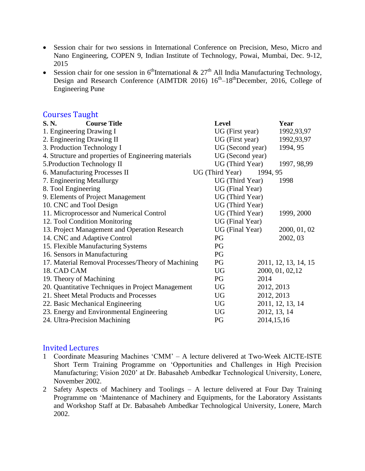- Session chair for two sessions in International Conference on Precision, Meso, Micro and Nano Engineering, COPEN 9, Indian Institute of Technology, Powai, Mumbai, Dec. 9-12, 2015
- Session chair for one session in  $6^{\text{th}}$ International &  $27^{\text{th}}$  All India Manufacturing Technology, Design and Research Conference (AIMTDR 2016)  $16<sup>th</sup>-18<sup>th</sup>$ December, 2016, College of Engineering Pune

#### Courses Taught

| S. N.<br><b>Course Title</b>                         | <b>Level</b>     | Year                 |
|------------------------------------------------------|------------------|----------------------|
| 1. Engineering Drawing I                             | UG (First year)  | 1992,93,97           |
| 2. Engineering Drawing II                            | UG (First year)  | 1992,93,97           |
| 3. Production Technology I                           | UG (Second year) | 1994, 95             |
| 4. Structure and properties of Engineering materials | UG (Second year) |                      |
| 5. Production Technology II                          | UG (Third Year)  | 1997, 98,99          |
| 6. Manufacturing Processes II                        | UG (Third Year)  | 1994, 95             |
| 7. Engineering Metallurgy                            | UG (Third Year)  | 1998                 |
| 8. Tool Engineering                                  | UG (Final Year)  |                      |
| 9. Elements of Project Management                    | UG (Third Year)  |                      |
| 10. CNC and Tool Design                              | UG (Third Year)  |                      |
| 11. Microprocessor and Numerical Control             | UG (Third Year)  | 1999, 2000           |
| 12. Tool Condition Monitoring                        | UG (Final Year)  |                      |
| 13. Project Management and Operation Research        | UG (Final Year)  | 2000, 01, 02         |
| 14. CNC and Adaptive Control                         | PG               | 2002, 03             |
| 15. Flexible Manufacturing Systems                   | PG               |                      |
| 16. Sensors in Manufacturing                         | PG               |                      |
| 17. Material Removal Processes/Theory of Machining   | PG               | 2011, 12, 13, 14, 15 |
| 18. CAD CAM                                          | <b>UG</b>        | 2000, 01, 02, 12     |
| 19. Theory of Machining                              | PG               | 2014                 |
| 20. Quantitative Techniques in Project Management    | <b>UG</b>        | 2012, 2013           |
| 21. Sheet Metal Products and Processes               | <b>UG</b>        | 2012, 2013           |
| 22. Basic Mechanical Engineering                     | <b>UG</b>        | 2011, 12, 13, 14     |
| 23. Energy and Environmental Engineering             | <b>UG</b>        | 2012, 13, 14         |
| 24. Ultra-Precision Machining                        | PG               | 2014, 15, 16         |

#### Invited Lectures

- 1 Coordinate Measuring Machines "CMM" A lecture delivered at Two-Week AICTE-ISTE Short Term Training Programme on "Opportunities and Challenges in High Precision Manufacturing; Vision 2020" at Dr. Babasaheb Ambedkar Technological University, Lonere, November 2002.
- 2 Safety Aspects of Machinery and Toolings A lecture delivered at Four Day Training Programme on "Maintenance of Machinery and Equipments, for the Laboratory Assistants and Workshop Staff at Dr. Babasaheb Ambedkar Technological University, Lonere, March 2002.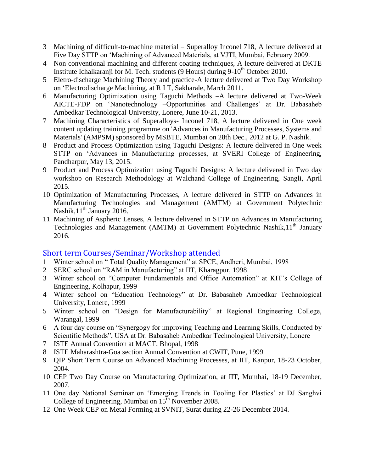- 3 Machining of difficult-to-machine material Superalloy Inconel 718, A lecture delivered at Five Day STTP on "Machining of Advanced Materials, at VJTI, Mumbai, February 2009.
- 4 Non conventional machining and different coating techniques, A lecture delivered at DKTE Institute Ichalkaranji for M. Tech. students  $(9 \text{ Hours})$  during  $9-10^{\text{th}}$  October 2010.
- 5 Eletro-discharge Machining Theory and practice-A lecture delivered at Two Day Workshop on "Electrodischarge Machining, at R I T, Sakharale, March 2011.
- 6 Manufacturing Optimization using Taguchi Methods –A lecture delivered at Two-Week AICTE-FDP on 'Nanotechnology –Opportunities and Challenges' at Dr. Babasaheb Ambedkar Technological University, Lonere, June 10-21, 2013.
- 7 Machining Characteristics of Superalloys- Inconel 718, A lecture delivered in One week content updating training programme on 'Advances in Manufacturing Processes, Systems and Materials' (AMPSM) sponsored by MSBTE, Mumbai on 28th Dec., 2012 at G. P. Nashik.
- 8 Product and Process Optimization using Taguchi Designs: A lecture delivered in One week STTP on "Advances in Manufacturing processes, at SVERI College of Engineering, Pandharpur, May 13, 2015.
- 9 Product and Process Optimization using Taguchi Designs: A lecture delivered in Two day workshop on Research Methodology at Walchand College of Engineering, Sangli, April 2015.
- 10 Optimization of Manufacturing Processes, A lecture delivered in STTP on Advances in Manufacturing Technologies and Management (AMTM) at Government Polytechnic Nashik,  $11^{th}$  January 2016.
- 11 Machining of Aspheric Lenses, A lecture delivered in STTP on Advances in Manufacturing Technologies and Management (AMTM) at Government Polytechnic Nashik, 11<sup>th</sup> January 2016.

#### Short term Courses/Seminar/Workshop attended

- 1 Winter school on " Total Quality Management" at SPCE, Andheri, Mumbai, 1998
- 2 SERC school on "RAM in Manufacturing" at IIT, Kharagpur, 1998
- 3 Winter school on "Computer Fundamentals and Office Automation" at KIT"s College of Engineering, Kolhapur, 1999
- 4 Winter school on "Education Technology" at Dr. Babasaheb Ambedkar Technological University, Lonere, 1999
- 5 Winter school on "Design for Manufacturability" at Regional Engineering College, Warangal, 1999
- 6 A four day course on "Synergogy for improving Teaching and Learning Skills, Conducted by Scientific Methods", USA at Dr. Babasaheb Ambedkar Technological University, Lonere
- 7 ISTE Annual Convention at MACT, Bhopal, 1998
- 8 ISTE Maharashtra-Goa section Annual Convention at CWIT, Pune, 1999
- 9 QIP Short Term Course on Advanced Machining Processes, at IIT, Kanpur, 18-23 October, 2004.
- 10 CEP Two Day Course on Manufacturing Optimization, at IIT, Mumbai, 18-19 December, 2007.
- 11 One day National Seminar on 'Emerging Trends in Tooling For Plastics' at DJ Sanghvi College of Engineering, Mumbai on  $15^{\text{th}}$  November 2008.
- 12 One Week CEP on Metal Forming at SVNIT, Surat during 22-26 December 2014.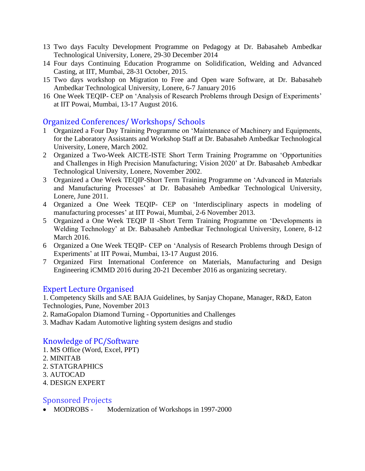- 13 Two days Faculty Development Programme on Pedagogy at Dr. Babasaheb Ambedkar Technological University, Lonere, 29-30 December 2014
- 14 Four days Continuing Education Programme on Solidification, Welding and Advanced Casting, at IIT, Mumbai, 28-31 October, 2015.
- 15 Two days workshop on Migration to Free and Open ware Software, at Dr. Babasaheb Ambedkar Technological University, Lonere, 6-7 January 2016
- 16 One Week TEQIP- CEP on "Analysis of Research Problems through Design of Experiments" at IIT Powai, Mumbai, 13-17 August 2016.

### Organized Conferences/ Workshops/ Schools

- 1 Organized a Four Day Training Programme on "Maintenance of Machinery and Equipments, for the Laboratory Assistants and Workshop Staff at Dr. Babasaheb Ambedkar Technological University, Lonere, March 2002.
- 2 Organized a Two-Week AICTE-ISTE Short Term Training Programme on "Opportunities and Challenges in High Precision Manufacturing; Vision 2020" at Dr. Babasaheb Ambedkar Technological University, Lonere, November 2002.
- 3 Organized a One Week TEQIP-Short Term Training Programme on "Advanced in Materials and Manufacturing Processes" at Dr. Babasaheb Ambedkar Technological University, Lonere, June 2011.
- 4 Organized a One Week TEQIP- CEP on "Interdisciplinary aspects in modeling of manufacturing processes' at IIT Powai, Mumbai, 2-6 November 2013.
- 5 Organized a One Week TEQIP II -Short Term Training Programme on "Developments in Welding Technology" at Dr. Babasaheb Ambedkar Technological University, Lonere, 8-12 March 2016.
- 6 Organized a One Week TEQIP- CEP on "Analysis of Research Problems through Design of Experiments" at IIT Powai, Mumbai, 13-17 August 2016.
- 7 Organized First International Conference on Materials, Manufacturing and Design Engineering iCMMD 2016 during 20-21 December 2016 as organizing secretary.

### Expert Lecture Organised

1. Competency Skills and SAE BAJA Guidelines, by Sanjay Chopane, Manager, R&D, Eaton Technologies, Pune, November 2013

- 2. RamaGopalon Diamond Turning Opportunities and Challenges
- 3. Madhav Kadam Automotive lighting system designs and studio

# Knowledge of PC/Software

- 1. MS Office (Word, Excel, PPT)
- 2. MINITAB
- 2. STATGRAPHICS
- 3. AUTOCAD
- 4. DESIGN EXPERT

### Sponsored Projects

• MODROBS - Modernization of Workshops in 1997-2000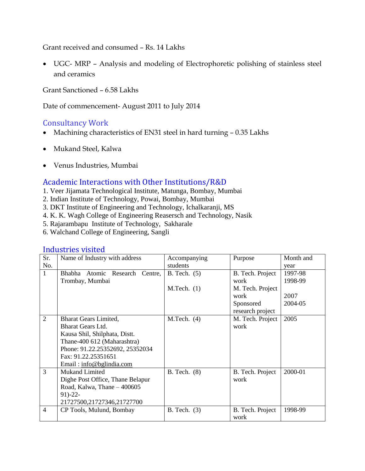Grant received and consumed – Rs. 14 Lakhs

 UGC- MRP – Analysis and modeling of Electrophoretic polishing of stainless steel and ceramics

Grant Sanctioned – 6.58 Lakhs

Date of commencement- August 2011 to July 2014

# Consultancy Work

- Machining characteristics of EN31 steel in hard turning 0.35 Lakhs
- Mukand Steel, Kalwa
- Venus Industries, Mumbai

### Academic Interactions with Other Institutions/R&D

- 1. Veer Jijamata Technological Institute, Matunga, Bombay, Mumbai
- 2. Indian Institute of Technology, Powai, Bombay, Mumbai
- 3. DKT Institute of Engineering and Technology, Ichalkaranji, MS
- 4. K. K. Wagh College of Engineering Reasersch and Technology, Nasik
- 5. Rajarambapu Institute of Technology, Sakharale
- 6. Walchand College of Engineering, Sangli

#### Industries visited

| Sr.            | Name of Industry with address        | Accompanying   | Purpose          | Month and |
|----------------|--------------------------------------|----------------|------------------|-----------|
| No.            |                                      | students       |                  | year      |
| $\mathbf{1}$   | Bhabha Atomic<br>Research<br>Centre, | B. Tech. $(5)$ | B. Tech. Project | 1997-98   |
|                | Trombay, Mumbai                      |                | work             | 1998-99   |
|                |                                      | $M.Tech.$ (1)  | M. Tech. Project |           |
|                |                                      |                | work             | 2007      |
|                |                                      |                | Sponsored        | 2004-05   |
|                |                                      |                | research project |           |
| $\overline{2}$ | <b>Bharat Gears Limited,</b>         | M.Tech. (4)    | M. Tech. Project | 2005      |
|                | <b>Bharat Gears Ltd.</b>             |                | work             |           |
|                | Kausa Shil, Shilphata, Distt.        |                |                  |           |
|                | Thane-400 612 (Maharashtra)          |                |                  |           |
|                | Phone: 91.22.25352692, 25352034      |                |                  |           |
|                | Fax: 91.22.25351651                  |                |                  |           |
|                | Email: info@bglindia.com             |                |                  |           |
| 3              | <b>Mukand Limited</b>                | B. Tech. (8)   | B. Tech. Project | 2000-01   |
|                | Dighe Post Office, Thane Belapur     |                | work             |           |
|                | Road, Kalwa, Thane - 400605          |                |                  |           |
|                | $91)-22-$                            |                |                  |           |
|                | 21727500,21727346,21727700           |                |                  |           |
| $\overline{4}$ | CP Tools, Mulund, Bombay             | B. Tech. (3)   | B. Tech. Project | 1998-99   |
|                |                                      |                | work             |           |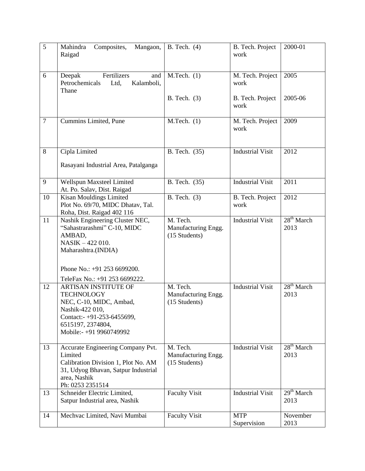| 5              | Mahindra<br>Composites,<br>Mangaon,<br>Raigad                                                                                                                            | B. Tech. $(4)$                                   | B. Tech. Project<br>work  | 2000-01              |
|----------------|--------------------------------------------------------------------------------------------------------------------------------------------------------------------------|--------------------------------------------------|---------------------------|----------------------|
| 6              | Fertilizers<br>Deepak<br>and<br>Petrochemicals<br>Ltd,<br>Kalamboli,<br>Thane                                                                                            | $M.Tech.$ (1)                                    | M. Tech. Project<br>work  | 2005                 |
|                |                                                                                                                                                                          | B. Tech. $(3)$                                   | B. Tech. Project<br>work  | 2005-06              |
| $\overline{7}$ | Cummins Limited, Pune                                                                                                                                                    | $M.Tech.$ (1)                                    | M. Tech. Project<br>work  | 2009                 |
| 8              | Cipla Limited                                                                                                                                                            | B. Tech. (35)                                    | <b>Industrial Visit</b>   | 2012                 |
|                | Rasayani Industrial Area, Patalganga                                                                                                                                     |                                                  |                           |                      |
| 9              | Wellspun Maxsteel Limited<br>At. Po. Salav, Dist. Raigad                                                                                                                 | B. Tech. (35)                                    | <b>Industrial Visit</b>   | 2011                 |
| 10             | Kisan Mouldings Limited<br>Plot No. 69/70, MIDC Dhatav, Tal.<br>Roha, Dist. Raigad 402 116                                                                               | B. Tech. $(3)$                                   | B. Tech. Project<br>work  | 2012                 |
| 11             | Nashik Engineering Cluster NEC,<br>"Sahastrarashmi" C-10, MIDC<br>AMBAD,<br>NASIK - 422 010.<br>Maharashtra.(INDIA)<br>Phone No.: +91 253 6699200.                       | M. Tech.<br>Manufacturing Engg.<br>(15 Students) | <b>Industrial Visit</b>   | $28th$ March<br>2013 |
|                | TeleFax No.: +91 253 6699222.                                                                                                                                            |                                                  |                           |                      |
| 12             | ARTISAN INSTITUTE OF<br><b>TECHNOLOGY</b><br>NEC, C-10, MIDC, Ambad,<br>Nashik-422 010,<br>Contact:- $+91-253-6455699$ ,<br>6515197, 2374804,<br>Mobile:- +91 9960749992 | M. Tech.<br>Manufacturing Engg.<br>(15 Students) | <b>Industrial Visit</b>   | $28th$ March<br>2013 |
| 13             | Accurate Engineering Company Pvt.<br>Limited<br>Calibration Division 1, Plot No. AM<br>31, Udyog Bhavan, Satpur Industrial<br>area, Nashik<br>Ph: 0253 2351514           | M. Tech.<br>Manufacturing Engg.<br>(15 Students) | <b>Industrial Visit</b>   | $28th$ March<br>2013 |
| 13             | Schneider Electric Limited,<br>Satpur Industrial area, Nashik                                                                                                            | <b>Faculty Visit</b>                             | <b>Industrial Visit</b>   | $29th$ March<br>2013 |
| 14             | Mechvac Limited, Navi Mumbai                                                                                                                                             | <b>Faculty Visit</b>                             | <b>MTP</b><br>Supervision | November<br>2013     |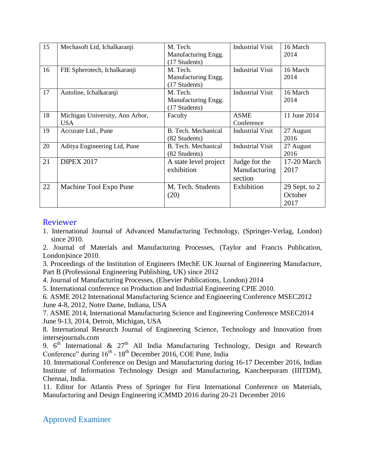| 15 | Mechasoft Ltd, Ichalkaranji                   | M. Tech.<br>Manufacturing Engg.<br>(17 Students) | <b>Industrial Visit</b>                   | 16 March<br>2014                   |
|----|-----------------------------------------------|--------------------------------------------------|-------------------------------------------|------------------------------------|
| 16 | FIE Spherotech, Ichalkaranji                  | M. Tech.<br>Manufacturing Engg.<br>(17 Students) | <b>Industrial Visit</b>                   | 16 March<br>2014                   |
| 17 | Autoline, Ichalkaranji                        | M. Tech.<br>Manufacturing Engg.<br>(17 Students) | <b>Industrial Visit</b>                   | 16 March<br>2014                   |
| 18 | Michigan University, Ann Arbor,<br><b>USA</b> | Faculty                                          | <b>ASME</b><br>Conference                 | 11 June 2014                       |
| 19 | Accurate Ltd., Pune                           | B. Tech. Mechanical<br>(82 Students)             | <b>Industrial Visit</b>                   | 27 August<br>2016                  |
| 20 | Aditya Engineering Ltd, Pune                  | B. Tech. Mechanical<br>(82 Students)             | <b>Industrial Visit</b>                   | 27 August<br>2016                  |
| 21 | <b>DIPEX 2017</b>                             | A state level project<br>exhibition              | Judge for the<br>Manufacturing<br>section | 17-20 March<br>2017                |
| 22 | Machine Tool Expo Pune                        | M. Tech. Students<br>(20)                        | Exhibition                                | 29 Sept. to $2$<br>October<br>2017 |

#### Reviewer

1. International Journal of Advanced Manufacturing Technology, (Springer-Verlag, London) since 2010.

2. Journal of Materials and Manufacturing Processes, (Taylor and Francis Publication, London)since 2010.

3. Proceedings of the Institution of Engineers IMechE UK Journal of Engineering Manufacture, Part B (Professional Engineering Publishing, UK) since 2012

4. Journal of Manufacturing Processes, (Elsevier Publications, London) 2014

5. International conference on Production and Industrial Engineering CPIE 2010.

6. ASME 2012 International Manufacturing Science and Engineering Conference MSEC2012 June 4-8, 2012, Notre Dame, Indiana, USA

7. ASME 2014, International Manufacturing Science and Engineering Conference MSEC2014 June 9-13, 2014, Detroit, Michigan, USA

8. International Research Journal of Engineering Science, Technology and Innovation from intersejournals.com

9.  $6<sup>th</sup>$  International & 27<sup>th</sup> All India Manufacturing Technology, Design and Research Conference" during  $16<sup>th</sup>$  -  $18<sup>th</sup>$  December 2016, COE Pune, India

10. International Conference on Design and Manufacturing during 16-17 December 2016, Indian Institute of Information Technology Design and Manufacturing, Kancheepuram (IIITDM), Chennai, India.

11. Editor for Atlantis Press of Springer for First International Conference on Materials, Manufacturing and Design Engineering iCMMD 2016 during 20-21 December 2016

### Approved Examiner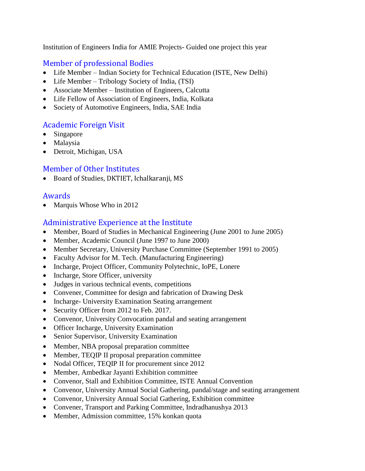Institution of Engineers India for AMIE Projects- Guided one project this year

# Member of professional Bodies

- Life Member Indian Society for Technical Education (ISTE, New Delhi)
- Life Member Tribology Society of India, (TSI)
- Associate Member Institution of Engineers, Calcutta
- Life Fellow of Association of Engineers, India, Kolkata
- Society of Automotive Engineers, India, SAE India

# Academic Foreign Visit

- Singapore
- Malaysia
- Detroit, Michigan, USA

# Member of Other Institutes

Board of Studies, DKTIET, Ichalkaranji, MS

### Awards

• Marquis Whose Who in 2012

### Administrative Experience at the Institute

- Member, Board of Studies in Mechanical Engineering (June 2001 to June 2005)
- Member, Academic Council (June 1997 to June 2000)
- Member Secretary, University Purchase Committee (September 1991 to 2005)
- Faculty Advisor for M. Tech. (Manufacturing Engineering)
- Incharge, Project Officer, Community Polytechnic, IoPE, Lonere
- Incharge, Store Officer, university
- Judges in various technical events, competitions
- Convener, Committee for design and fabrication of Drawing Desk
- Incharge- University Examination Seating arrangement
- Security Officer from 2012 to Feb. 2017.
- Convenor, University Convocation pandal and seating arrangement
- Officer Incharge, University Examination
- Senior Supervisor, University Examination
- Member, NBA proposal preparation committee
- Member, TEQIP II proposal preparation committee
- Nodal Officer, TEQIP II for procurement since 2012
- Member, Ambedkar Jayanti Exhibition committee
- Convenor, Stall and Exhibition Committee, ISTE Annual Convention
- Convenor, University Annual Social Gathering, pandal/stage and seating arrangement
- Convenor, University Annual Social Gathering, Exhibition committee
- Convener, Transport and Parking Committee, Indradhanushya 2013
- Member, Admission committee, 15% konkan quota